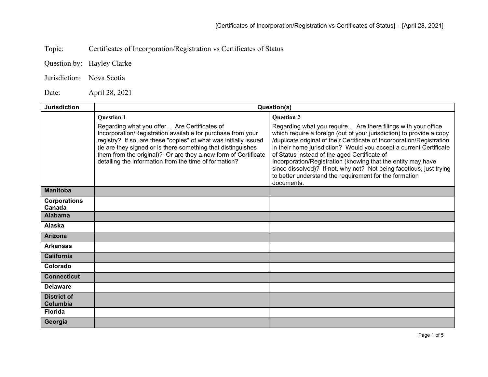Topic: Certificates of Incorporation/Registration vs Certificates of Status

Question by: Hayley Clarke

Jurisdiction: Nova Scotia

Date: April 28, 2021

| <b>Jurisdiction</b>            | Question(s)                                                                                                                                                                                                                                                                                                                                                                                     |                                                                                                                                                                                                                                                                                                                                                                                                                                                                                                                                                                           |
|--------------------------------|-------------------------------------------------------------------------------------------------------------------------------------------------------------------------------------------------------------------------------------------------------------------------------------------------------------------------------------------------------------------------------------------------|---------------------------------------------------------------------------------------------------------------------------------------------------------------------------------------------------------------------------------------------------------------------------------------------------------------------------------------------------------------------------------------------------------------------------------------------------------------------------------------------------------------------------------------------------------------------------|
|                                | <b>Question 1</b><br>Regarding what you offer Are Certificates of<br>Incorporation/Registration available for purchase from your<br>registry? If so, are these "copies" of what was initially issued<br>(ie are they signed or is there something that distinguishes<br>them from the original)? Or are they a new form of Certificate<br>detailing the information from the time of formation? | <b>Question 2</b><br>Regarding what you require Are there filings with your office<br>which require a foreign (out of your jurisdiction) to provide a copy<br>/duplicate original of their Certificate of Incorporation/Registration<br>in their home jurisdiction? Would you accept a current Certificate<br>of Status instead of the aged Certificate of<br>Incorporation/Registration (knowing that the entity may have<br>since dissolved)? If not, why not? Not being facetious, just trying<br>to better understand the requirement for the formation<br>documents. |
| <b>Manitoba</b>                |                                                                                                                                                                                                                                                                                                                                                                                                 |                                                                                                                                                                                                                                                                                                                                                                                                                                                                                                                                                                           |
| <b>Corporations</b><br>Canada  |                                                                                                                                                                                                                                                                                                                                                                                                 |                                                                                                                                                                                                                                                                                                                                                                                                                                                                                                                                                                           |
| <b>Alabama</b>                 |                                                                                                                                                                                                                                                                                                                                                                                                 |                                                                                                                                                                                                                                                                                                                                                                                                                                                                                                                                                                           |
| <b>Alaska</b>                  |                                                                                                                                                                                                                                                                                                                                                                                                 |                                                                                                                                                                                                                                                                                                                                                                                                                                                                                                                                                                           |
| <b>Arizona</b>                 |                                                                                                                                                                                                                                                                                                                                                                                                 |                                                                                                                                                                                                                                                                                                                                                                                                                                                                                                                                                                           |
| <b>Arkansas</b>                |                                                                                                                                                                                                                                                                                                                                                                                                 |                                                                                                                                                                                                                                                                                                                                                                                                                                                                                                                                                                           |
| <b>California</b>              |                                                                                                                                                                                                                                                                                                                                                                                                 |                                                                                                                                                                                                                                                                                                                                                                                                                                                                                                                                                                           |
| Colorado                       |                                                                                                                                                                                                                                                                                                                                                                                                 |                                                                                                                                                                                                                                                                                                                                                                                                                                                                                                                                                                           |
| <b>Connecticut</b>             |                                                                                                                                                                                                                                                                                                                                                                                                 |                                                                                                                                                                                                                                                                                                                                                                                                                                                                                                                                                                           |
| <b>Delaware</b>                |                                                                                                                                                                                                                                                                                                                                                                                                 |                                                                                                                                                                                                                                                                                                                                                                                                                                                                                                                                                                           |
| <b>District of</b><br>Columbia |                                                                                                                                                                                                                                                                                                                                                                                                 |                                                                                                                                                                                                                                                                                                                                                                                                                                                                                                                                                                           |
| <b>Florida</b>                 |                                                                                                                                                                                                                                                                                                                                                                                                 |                                                                                                                                                                                                                                                                                                                                                                                                                                                                                                                                                                           |
| Georgia                        |                                                                                                                                                                                                                                                                                                                                                                                                 |                                                                                                                                                                                                                                                                                                                                                                                                                                                                                                                                                                           |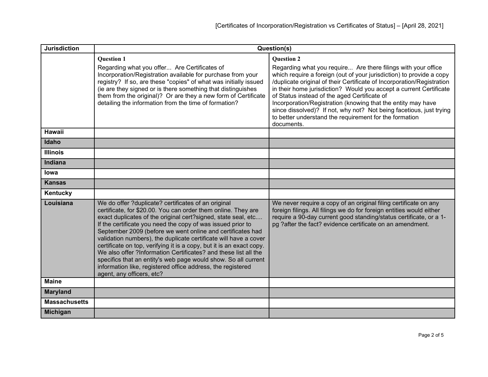| <b>Jurisdiction</b>  | Question(s)                                                                                                                                                                                                                                                                                                                                                                                                                                                                                                                                                                                                                                                                                     |                                                                                                                                                                                                                                                                                                                                                                                                                                                                                                                                                                           |
|----------------------|-------------------------------------------------------------------------------------------------------------------------------------------------------------------------------------------------------------------------------------------------------------------------------------------------------------------------------------------------------------------------------------------------------------------------------------------------------------------------------------------------------------------------------------------------------------------------------------------------------------------------------------------------------------------------------------------------|---------------------------------------------------------------------------------------------------------------------------------------------------------------------------------------------------------------------------------------------------------------------------------------------------------------------------------------------------------------------------------------------------------------------------------------------------------------------------------------------------------------------------------------------------------------------------|
|                      | <b>Question 1</b><br>Regarding what you offer Are Certificates of<br>Incorporation/Registration available for purchase from your<br>registry? If so, are these "copies" of what was initially issued<br>(ie are they signed or is there something that distinguishes<br>them from the original)? Or are they a new form of Certificate<br>detailing the information from the time of formation?                                                                                                                                                                                                                                                                                                 | <b>Question 2</b><br>Regarding what you require Are there filings with your office<br>which require a foreign (out of your jurisdiction) to provide a copy<br>/duplicate original of their Certificate of Incorporation/Registration<br>in their home jurisdiction? Would you accept a current Certificate<br>of Status instead of the aged Certificate of<br>Incorporation/Registration (knowing that the entity may have<br>since dissolved)? If not, why not? Not being facetious, just trying<br>to better understand the requirement for the formation<br>documents. |
| Hawaii               |                                                                                                                                                                                                                                                                                                                                                                                                                                                                                                                                                                                                                                                                                                 |                                                                                                                                                                                                                                                                                                                                                                                                                                                                                                                                                                           |
| Idaho                |                                                                                                                                                                                                                                                                                                                                                                                                                                                                                                                                                                                                                                                                                                 |                                                                                                                                                                                                                                                                                                                                                                                                                                                                                                                                                                           |
| <b>Illinois</b>      |                                                                                                                                                                                                                                                                                                                                                                                                                                                                                                                                                                                                                                                                                                 |                                                                                                                                                                                                                                                                                                                                                                                                                                                                                                                                                                           |
| <b>Indiana</b>       |                                                                                                                                                                                                                                                                                                                                                                                                                                                                                                                                                                                                                                                                                                 |                                                                                                                                                                                                                                                                                                                                                                                                                                                                                                                                                                           |
| lowa                 |                                                                                                                                                                                                                                                                                                                                                                                                                                                                                                                                                                                                                                                                                                 |                                                                                                                                                                                                                                                                                                                                                                                                                                                                                                                                                                           |
| <b>Kansas</b>        |                                                                                                                                                                                                                                                                                                                                                                                                                                                                                                                                                                                                                                                                                                 |                                                                                                                                                                                                                                                                                                                                                                                                                                                                                                                                                                           |
| Kentucky             |                                                                                                                                                                                                                                                                                                                                                                                                                                                                                                                                                                                                                                                                                                 |                                                                                                                                                                                                                                                                                                                                                                                                                                                                                                                                                                           |
| Louisiana            | We do offer ?duplicate? certificates of an original<br>certificate, for \$20.00. You can order them online. They are<br>exact duplicates of the original cert?signed, state seal, etc<br>If the certificate you need the copy of was issued prior to<br>September 2009 (before we went online and certificates had<br>validation numbers), the duplicate certificate will have a cover<br>certificate on top, verifying it is a copy, but it is an exact copy.<br>We also offer ?Information Certificates? and these list all the<br>specifics that an entity's web page would show. So all current<br>information like, registered office address, the registered<br>agent, any officers, etc? | We never require a copy of an original filing certificate on any<br>foreign filings. All filings we do for foreign entities would either<br>require a 90-day current good standing/status certificate, or a 1-<br>pg ?after the fact? evidence certificate on an amendment.                                                                                                                                                                                                                                                                                               |
| <b>Maine</b>         |                                                                                                                                                                                                                                                                                                                                                                                                                                                                                                                                                                                                                                                                                                 |                                                                                                                                                                                                                                                                                                                                                                                                                                                                                                                                                                           |
| <b>Maryland</b>      |                                                                                                                                                                                                                                                                                                                                                                                                                                                                                                                                                                                                                                                                                                 |                                                                                                                                                                                                                                                                                                                                                                                                                                                                                                                                                                           |
| <b>Massachusetts</b> |                                                                                                                                                                                                                                                                                                                                                                                                                                                                                                                                                                                                                                                                                                 |                                                                                                                                                                                                                                                                                                                                                                                                                                                                                                                                                                           |
| <b>Michigan</b>      |                                                                                                                                                                                                                                                                                                                                                                                                                                                                                                                                                                                                                                                                                                 |                                                                                                                                                                                                                                                                                                                                                                                                                                                                                                                                                                           |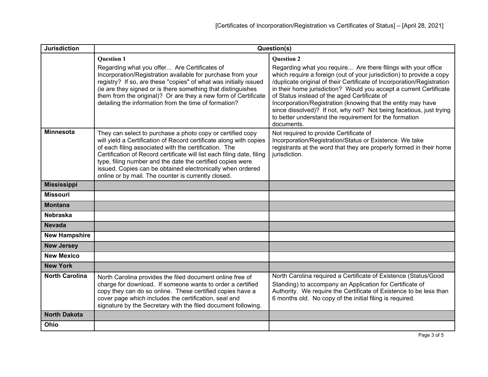| <b>Jurisdiction</b>   | Question(s)                                                                                                                                                                                                                                                                                                                                                                                                                                            |                                                                                                                                                                                                                                                                                                                                                                                                                                                                                                                                                      |
|-----------------------|--------------------------------------------------------------------------------------------------------------------------------------------------------------------------------------------------------------------------------------------------------------------------------------------------------------------------------------------------------------------------------------------------------------------------------------------------------|------------------------------------------------------------------------------------------------------------------------------------------------------------------------------------------------------------------------------------------------------------------------------------------------------------------------------------------------------------------------------------------------------------------------------------------------------------------------------------------------------------------------------------------------------|
|                       | <b>Question 1</b>                                                                                                                                                                                                                                                                                                                                                                                                                                      | <b>Ouestion 2</b>                                                                                                                                                                                                                                                                                                                                                                                                                                                                                                                                    |
|                       | Regarding what you offer Are Certificates of<br>Incorporation/Registration available for purchase from your<br>registry? If so, are these "copies" of what was initially issued<br>(ie are they signed or is there something that distinguishes<br>them from the original)? Or are they a new form of Certificate<br>detailing the information from the time of formation?                                                                             | Regarding what you require Are there filings with your office<br>which require a foreign (out of your jurisdiction) to provide a copy<br>/duplicate original of their Certificate of Incorporation/Registration<br>in their home jurisdiction? Would you accept a current Certificate<br>of Status instead of the aged Certificate of<br>Incorporation/Registration (knowing that the entity may have<br>since dissolved)? If not, why not? Not being facetious, just trying<br>to better understand the requirement for the formation<br>documents. |
| <b>Minnesota</b>      | They can select to purchase a photo copy or certified copy<br>will yield a Certification of Record certificate along with copies<br>of each filing associated with the certification. The<br>Certification of Record certificate will list each filing date, filing<br>type, filing number and the date the certified copies were<br>issued. Copies can be obtained electronically when ordered<br>online or by mail. The counter is currently closed. | Not required to provide Certificate of<br>Incorporation/Registration/Status or Existence. We take<br>registrants at the word that they are properly formed in their home<br>jurisdiction.                                                                                                                                                                                                                                                                                                                                                            |
| <b>Mississippi</b>    |                                                                                                                                                                                                                                                                                                                                                                                                                                                        |                                                                                                                                                                                                                                                                                                                                                                                                                                                                                                                                                      |
| <b>Missouri</b>       |                                                                                                                                                                                                                                                                                                                                                                                                                                                        |                                                                                                                                                                                                                                                                                                                                                                                                                                                                                                                                                      |
| <b>Montana</b>        |                                                                                                                                                                                                                                                                                                                                                                                                                                                        |                                                                                                                                                                                                                                                                                                                                                                                                                                                                                                                                                      |
| <b>Nebraska</b>       |                                                                                                                                                                                                                                                                                                                                                                                                                                                        |                                                                                                                                                                                                                                                                                                                                                                                                                                                                                                                                                      |
| <b>Nevada</b>         |                                                                                                                                                                                                                                                                                                                                                                                                                                                        |                                                                                                                                                                                                                                                                                                                                                                                                                                                                                                                                                      |
| <b>New Hampshire</b>  |                                                                                                                                                                                                                                                                                                                                                                                                                                                        |                                                                                                                                                                                                                                                                                                                                                                                                                                                                                                                                                      |
| <b>New Jersey</b>     |                                                                                                                                                                                                                                                                                                                                                                                                                                                        |                                                                                                                                                                                                                                                                                                                                                                                                                                                                                                                                                      |
| <b>New Mexico</b>     |                                                                                                                                                                                                                                                                                                                                                                                                                                                        |                                                                                                                                                                                                                                                                                                                                                                                                                                                                                                                                                      |
| <b>New York</b>       |                                                                                                                                                                                                                                                                                                                                                                                                                                                        |                                                                                                                                                                                                                                                                                                                                                                                                                                                                                                                                                      |
| <b>North Carolina</b> | North Carolina provides the filed document online free of<br>charge for download. If someone wants to order a certified<br>copy they can do so online. These certified copies have a<br>cover page which includes the certification, seal and<br>signature by the Secretary with the filed document following.                                                                                                                                         | North Carolina required a Certificate of Existence (Status/Good<br>Standing) to accompany an Application for Certificate of<br>Authority. We require the Certificate of Existence to be less than<br>6 months old. No copy of the initial filing is required.                                                                                                                                                                                                                                                                                        |
| <b>North Dakota</b>   |                                                                                                                                                                                                                                                                                                                                                                                                                                                        |                                                                                                                                                                                                                                                                                                                                                                                                                                                                                                                                                      |
| Ohio                  |                                                                                                                                                                                                                                                                                                                                                                                                                                                        |                                                                                                                                                                                                                                                                                                                                                                                                                                                                                                                                                      |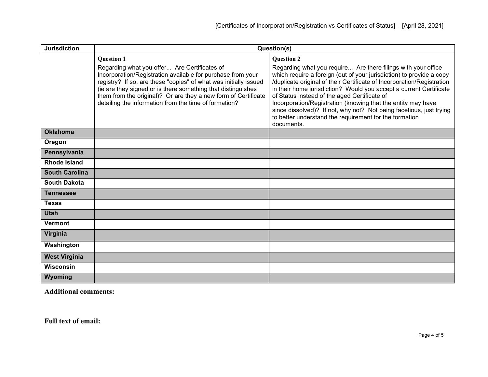| <b>Jurisdiction</b>   | Question(s)                                                                                                                                                                                                                                                                                                                                                                                     |                                                                                                                                                                                                                                                                                                                                                                                                                                                                                                                                                                           |
|-----------------------|-------------------------------------------------------------------------------------------------------------------------------------------------------------------------------------------------------------------------------------------------------------------------------------------------------------------------------------------------------------------------------------------------|---------------------------------------------------------------------------------------------------------------------------------------------------------------------------------------------------------------------------------------------------------------------------------------------------------------------------------------------------------------------------------------------------------------------------------------------------------------------------------------------------------------------------------------------------------------------------|
|                       | <b>Question 1</b><br>Regarding what you offer Are Certificates of<br>Incorporation/Registration available for purchase from your<br>registry? If so, are these "copies" of what was initially issued<br>(ie are they signed or is there something that distinguishes<br>them from the original)? Or are they a new form of Certificate<br>detailing the information from the time of formation? | <b>Question 2</b><br>Regarding what you require Are there filings with your office<br>which require a foreign (out of your jurisdiction) to provide a copy<br>/duplicate original of their Certificate of Incorporation/Registration<br>in their home jurisdiction? Would you accept a current Certificate<br>of Status instead of the aged Certificate of<br>Incorporation/Registration (knowing that the entity may have<br>since dissolved)? If not, why not? Not being facetious, just trying<br>to better understand the requirement for the formation<br>documents. |
| <b>Oklahoma</b>       |                                                                                                                                                                                                                                                                                                                                                                                                 |                                                                                                                                                                                                                                                                                                                                                                                                                                                                                                                                                                           |
| Oregon                |                                                                                                                                                                                                                                                                                                                                                                                                 |                                                                                                                                                                                                                                                                                                                                                                                                                                                                                                                                                                           |
| Pennsylvania          |                                                                                                                                                                                                                                                                                                                                                                                                 |                                                                                                                                                                                                                                                                                                                                                                                                                                                                                                                                                                           |
| <b>Rhode Island</b>   |                                                                                                                                                                                                                                                                                                                                                                                                 |                                                                                                                                                                                                                                                                                                                                                                                                                                                                                                                                                                           |
| <b>South Carolina</b> |                                                                                                                                                                                                                                                                                                                                                                                                 |                                                                                                                                                                                                                                                                                                                                                                                                                                                                                                                                                                           |
| <b>South Dakota</b>   |                                                                                                                                                                                                                                                                                                                                                                                                 |                                                                                                                                                                                                                                                                                                                                                                                                                                                                                                                                                                           |
| <b>Tennessee</b>      |                                                                                                                                                                                                                                                                                                                                                                                                 |                                                                                                                                                                                                                                                                                                                                                                                                                                                                                                                                                                           |
| <b>Texas</b>          |                                                                                                                                                                                                                                                                                                                                                                                                 |                                                                                                                                                                                                                                                                                                                                                                                                                                                                                                                                                                           |
| <b>Utah</b>           |                                                                                                                                                                                                                                                                                                                                                                                                 |                                                                                                                                                                                                                                                                                                                                                                                                                                                                                                                                                                           |
| <b>Vermont</b>        |                                                                                                                                                                                                                                                                                                                                                                                                 |                                                                                                                                                                                                                                                                                                                                                                                                                                                                                                                                                                           |
| Virginia              |                                                                                                                                                                                                                                                                                                                                                                                                 |                                                                                                                                                                                                                                                                                                                                                                                                                                                                                                                                                                           |
| Washington            |                                                                                                                                                                                                                                                                                                                                                                                                 |                                                                                                                                                                                                                                                                                                                                                                                                                                                                                                                                                                           |
| <b>West Virginia</b>  |                                                                                                                                                                                                                                                                                                                                                                                                 |                                                                                                                                                                                                                                                                                                                                                                                                                                                                                                                                                                           |
| <b>Wisconsin</b>      |                                                                                                                                                                                                                                                                                                                                                                                                 |                                                                                                                                                                                                                                                                                                                                                                                                                                                                                                                                                                           |
| Wyoming               |                                                                                                                                                                                                                                                                                                                                                                                                 |                                                                                                                                                                                                                                                                                                                                                                                                                                                                                                                                                                           |

**Additional comments:**

**Full text of email:**